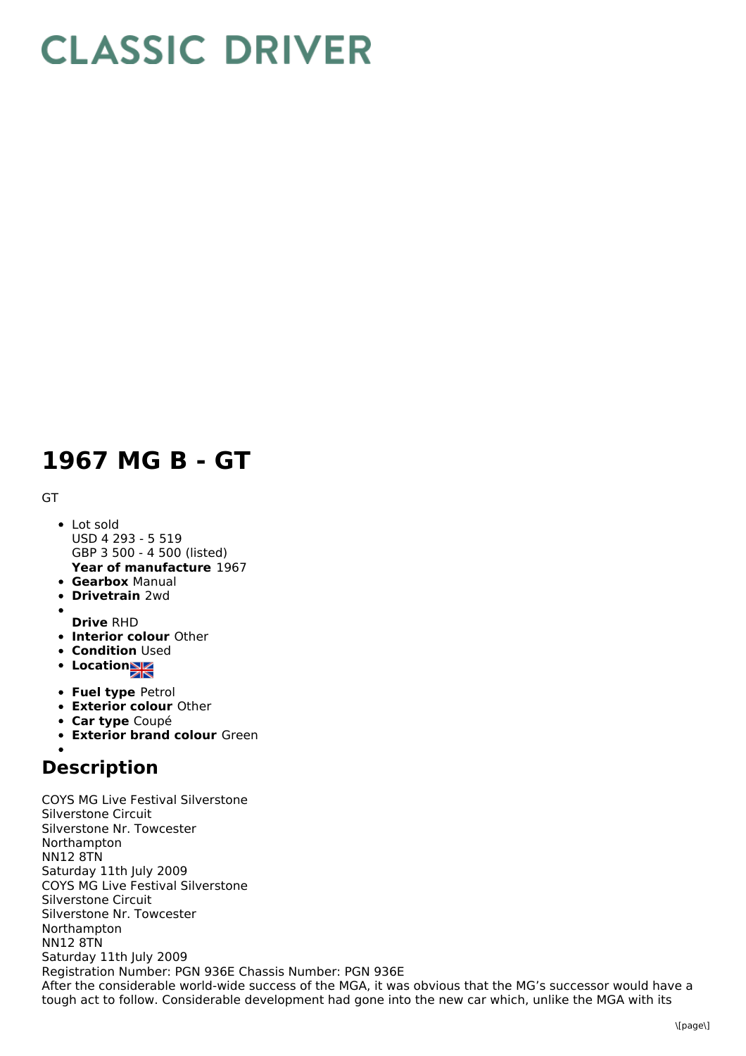## **CLASSIC DRIVER**

## **1967 MG B - GT**

**GT** 

- **Year of manufacture** 1967 • Lot sold USD 4 293 - 5 519 GBP 3 500 - 4 500 (listed)
- **Gearbox** Manual
- **Drivetrain** 2wd
- 
- **Drive** RHD
- **Interior colour** Other
- **Condition Used**
- **Location**
- **Fuel type** Petrol
- **Exterior colour** Other
- **Car type** Coupé
- **Exterior brand colour** Green

## **Description**

COYS MG Live Festival Silverstone Silverstone Circuit Silverstone Nr. Towcester Northampton NN12 8TN Saturday 11th July 2009 COYS MG Live Festival Silverstone Silverstone Circuit Silverstone Nr. Towcester Northampton NN12 8TN Saturday 11th July 2009 Registration Number: PGN 936E Chassis Number: PGN 936E After the considerable world-wide success of the MGA, it was obvious that the MG's successor would have a tough act to follow. Considerable development had gone into the new car which, unlike the MGA with its